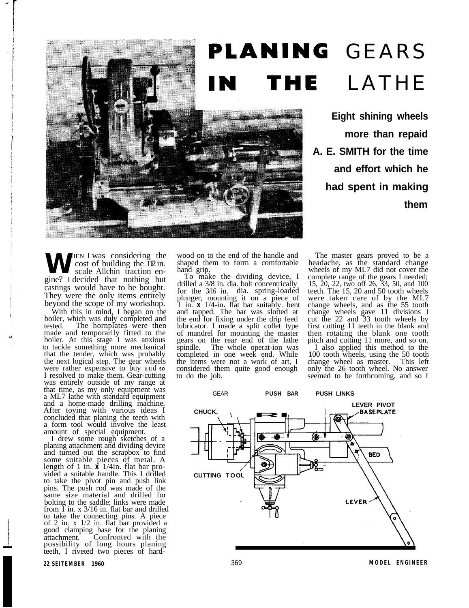## PLANING GEARS LATHE THE N

**Eight shining wheels more than repaid A. E. SMITH for the time and effort which he had spent in making them**

**W**HEN I was considering the light. cost of building the  $\overline{1}\sqrt{2}$  in. scale Allchin traction engine? I decided that nothing but castings would have to be bought. They were the only items entirely beyond the scope of my workshop.

With this in mind, I began on the boiler, which was duly completed and tested. The hornplates were then made and temporarily fitted to the boiler. At this stage I was anxious to tackle something more mechanical that the tender, which was probably the next logical step. The gear wheels were rather expensive to buy and so<br>I resolved to make them. Gear-cutting was entirely outside of my range at that time, as my only equipment was a ML7 lathe with standard equipment and a home-made drilling machine. After toying with various ideas I concluded that planing the teeth with a form tool would involve the least amount of special equipment.

I drew some rough sketches of a planing attachment and dividing device and turned out the scrapbox to find some suitable pieces of metal. A length of 1 in. **x** 1/4in. flat bar pro- vided a suitable handle. This I drilled to take the pivot pin and push link pins. The push rod was made of the same size material and drilled for bolting to the saddle; links were made from  $\tilde{I}$  in. x 3/16 in. flat bar and drilled to take the connecting pins. A piece of 2 in. x 1/2 in. flat bar provided a good clamping base for the planing Confronted with the possibility of long hours planing teeth, I riveted two pieces of hardwood on to the end of the handle and shaped them to form a comfortable

To make the dividing device, I drilled a 3/8 in. dia. bolt concentrically for the 3/16 in. dia. spring-loaded plunger, mounting it on a piece of 1 in. **x** 1/4-in**.** flat bar suitably. bent and tapped. The bar was slotted at and tapped. The bar was slotted at<br>the end for fixing under the drip feed<br>lubricator. I made a split collet type of mandrel for mounting the master gears on the rear end of the lathe<br>spindle. The whole operat-ion was spindle. The whole operat-ion was completed in one week end. While the items were not a work of art, I considered them quite good enough to do the job.

The master gears proved to be a headache, as the standard change wheels of my ML7 did not cover the complete range of the gears I needed; 15, 20, 22, two off 26, 33, 50, and 100 teeth. The 15, 20 and 50 tooth wheels were taken care of by the ML7 change wheels, and as the 55 tooth change wheels gave 11 divisions I cut the 22 and 33 tooth wheels by first cutting 11 teeth in the blank and then rotating the blank one tooth pitch and cutting 11 more, and so on.

I also applied this method to the 100 tooth wheels, using the 50 tooth change wheel as master. This left only the 26 tooth wheel. No answer seemed to be forthcoming, and so I

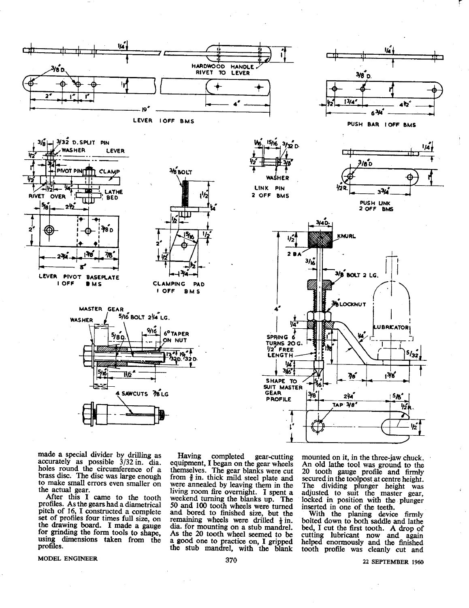

made a special divider by drilling as accurately as possible 3/32 in. dia. holes round the circumference of a brass disc. The disc was large enough to make small errors even smaller on the actual gear.

After this I came to the tooth profiles. As the gears had a diametrical pitch of 16, I constructed a complete set of profiles four times full size, on the drawing board. I made a gauge for grinding the form tools to shape, using dimensions taken from the profiles.

Having completed gear-cutting equipment, I began on the gear wheels themselves. The gear blanks were cut<br>from  $\frac{3}{8}$  in. thick mild steel plate and were annealed by leaving them in the living room fire overnight. I spent a weekend turning the blanks up. The 50 and 100 tooth wheels were turned and bored to finished size, but the remaining wheels were drilled  $\frac{1}{2}$  in. dia. for mounting on a stub mandrel. As the 20 tooth wheel seemed to be a good one to practice on, I gripped the stub mandrel, with the blank

mounted on it, in the three-jaw chuck. An old lathe tool was ground to the 20 tooth gauge profile and firmly<br>secured in the toolpost at centre height. The dividing plunger height was<br>adjusted to suit the master gear, locked in position with the plunger inserted in one of the teeth.

With the planing device firmly bolted down to both saddle and lathe bed, I cut the first tooth. A drop of cutting lubricant now and again<br>helped enormously and the finished tooth profile was cleanly cut and